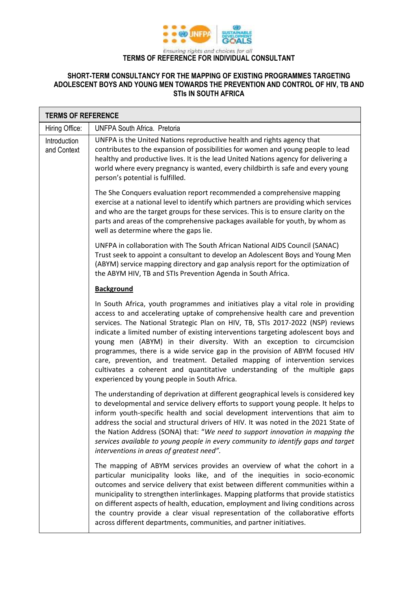

## **TERMS OF REFERENCE FOR INDIVIDUAL CONSULTANT**

## **SHORT-TERM CONSULTANCY FOR THE MAPPING OF EXISTING PROGRAMMES TARGETING ADOLESCENT BOYS AND YOUNG MEN TOWARDS THE PREVENTION AND CONTROL OF HIV, TB AND STIs IN SOUTH AFRICA**

| <b>TERMS OF REFERENCE</b>   |                                                                                                                                                                                                                                                                                                                                                                                                                                                                                                                                                                                                                                                                                                               |  |
|-----------------------------|---------------------------------------------------------------------------------------------------------------------------------------------------------------------------------------------------------------------------------------------------------------------------------------------------------------------------------------------------------------------------------------------------------------------------------------------------------------------------------------------------------------------------------------------------------------------------------------------------------------------------------------------------------------------------------------------------------------|--|
| Hiring Office:              | <b>UNFPA South Africa. Pretoria</b>                                                                                                                                                                                                                                                                                                                                                                                                                                                                                                                                                                                                                                                                           |  |
| Introduction<br>and Context | UNFPA is the United Nations reproductive health and rights agency that<br>contributes to the expansion of possibilities for women and young people to lead<br>healthy and productive lives. It is the lead United Nations agency for delivering a<br>world where every pregnancy is wanted, every childbirth is safe and every young<br>person's potential is fulfilled.                                                                                                                                                                                                                                                                                                                                      |  |
|                             | The She Conquers evaluation report recommended a comprehensive mapping<br>exercise at a national level to identify which partners are providing which services<br>and who are the target groups for these services. This is to ensure clarity on the<br>parts and areas of the comprehensive packages available for youth, by whom as<br>well as determine where the gaps lie.                                                                                                                                                                                                                                                                                                                                |  |
|                             | UNFPA in collaboration with The South African National AIDS Council (SANAC)<br>Trust seek to appoint a consultant to develop an Adolescent Boys and Young Men<br>(ABYM) service mapping directory and gap analysis report for the optimization of<br>the ABYM HIV, TB and STIs Prevention Agenda in South Africa.                                                                                                                                                                                                                                                                                                                                                                                             |  |
|                             | <b>Background</b>                                                                                                                                                                                                                                                                                                                                                                                                                                                                                                                                                                                                                                                                                             |  |
|                             | In South Africa, youth programmes and initiatives play a vital role in providing<br>access to and accelerating uptake of comprehensive health care and prevention<br>services. The National Strategic Plan on HIV, TB, STIs 2017-2022 (NSP) reviews<br>indicate a limited number of existing interventions targeting adolescent boys and<br>young men (ABYM) in their diversity. With an exception to circumcision<br>programmes, there is a wide service gap in the provision of ABYM focused HIV<br>care, prevention, and treatment. Detailed mapping of intervention services<br>cultivates a coherent and quantitative understanding of the multiple gaps<br>experienced by young people in South Africa. |  |
|                             | The understanding of deprivation at different geographical levels is considered key<br>to developmental and service delivery efforts to support young people. It helps to<br>inform youth-specific health and social development interventions that aim to<br>address the social and structural drivers of HIV. It was noted in the 2021 State of<br>the Nation Address (SONA) that: "We need to support innovation in mapping the<br>services available to young people in every community to identify gaps and target<br>interventions in areas of greatest need".                                                                                                                                          |  |
|                             | The mapping of ABYM services provides an overview of what the cohort in a<br>particular municipality looks like, and of the inequities in socio-economic<br>outcomes and service delivery that exist between different communities within a<br>municipality to strengthen interlinkages. Mapping platforms that provide statistics<br>on different aspects of health, education, employment and living conditions across<br>the country provide a clear visual representation of the collaborative efforts<br>across different departments, communities, and partner initiatives.                                                                                                                             |  |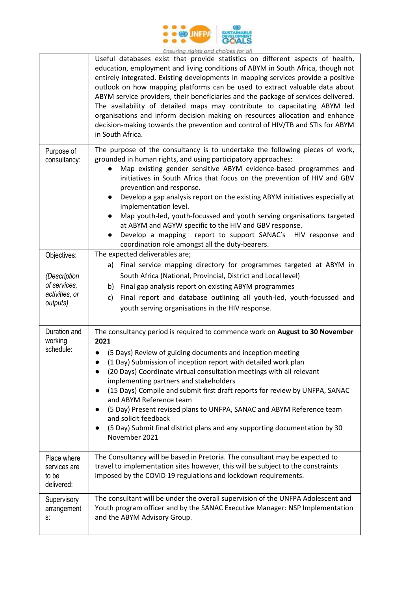

|                                                                           | but torist in the authority and the fact that the factories of battle additional<br>Useful databases exist that provide statistics on different aspects of health,<br>education, employment and living conditions of ABYM in South Africa, though not<br>entirely integrated. Existing developments in mapping services provide a positive<br>outlook on how mapping platforms can be used to extract valuable data about<br>ABYM service providers, their beneficiaries and the package of services delivered.<br>The availability of detailed maps may contribute to capacitating ABYM led<br>organisations and inform decision making on resources allocation and enhance<br>decision-making towards the prevention and control of HIV/TB and STIs for ABYM<br>in South Africa. |
|---------------------------------------------------------------------------|------------------------------------------------------------------------------------------------------------------------------------------------------------------------------------------------------------------------------------------------------------------------------------------------------------------------------------------------------------------------------------------------------------------------------------------------------------------------------------------------------------------------------------------------------------------------------------------------------------------------------------------------------------------------------------------------------------------------------------------------------------------------------------|
| Purpose of<br>consultancy:                                                | The purpose of the consultancy is to undertake the following pieces of work,<br>grounded in human rights, and using participatory approaches:<br>Map existing gender sensitive ABYM evidence-based programmes and<br>initiatives in South Africa that focus on the prevention of HIV and GBV<br>prevention and response.<br>Develop a gap analysis report on the existing ABYM initiatives especially at<br>$\bullet$<br>implementation level.<br>Map youth-led, youth-focussed and youth serving organisations targeted<br>at ABYM and AGYW specific to the HIV and GBV response.<br>Develop a mapping<br>report to support SANAC's HIV response and<br>$\bullet$<br>coordination role amongst all the duty-bearers.                                                              |
| Objectives:<br>(Description<br>of services,<br>activities, or<br>outputs) | The expected deliverables are;<br>a) Final service mapping directory for programmes targeted at ABYM in<br>South Africa (National, Provincial, District and Local level)<br>b) Final gap analysis report on existing ABYM programmes<br>Final report and database outlining all youth-led, youth-focussed and<br>c)<br>youth serving organisations in the HIV response.                                                                                                                                                                                                                                                                                                                                                                                                            |
| Duration and<br>working<br>schedule:                                      | The consultancy period is required to commence work on August to 30 November<br>2021<br>(5 Days) Review of guiding documents and inception meeting<br>(1 Day) Submission of inception report with detailed work plan<br>$\bullet$<br>(20 Days) Coordinate virtual consultation meetings with all relevant<br>$\bullet$<br>implementing partners and stakeholders<br>(15 Days) Compile and submit first draft reports for review by UNFPA, SANAC<br>$\bullet$<br>and ABYM Reference team<br>(5 Day) Present revised plans to UNFPA, SANAC and ABYM Reference team<br>$\bullet$<br>and solicit feedback<br>(5 Day) Submit final district plans and any supporting documentation by 30<br>November 2021                                                                               |
| Place where<br>services are<br>to be<br>delivered:                        | The Consultancy will be based in Pretoria. The consultant may be expected to<br>travel to implementation sites however, this will be subject to the constraints<br>imposed by the COVID 19 regulations and lockdown requirements.                                                                                                                                                                                                                                                                                                                                                                                                                                                                                                                                                  |
| Supervisory<br>arrangement<br>S.                                          | The consultant will be under the overall supervision of the UNFPA Adolescent and<br>Youth program officer and by the SANAC Executive Manager: NSP Implementation<br>and the ABYM Advisory Group.                                                                                                                                                                                                                                                                                                                                                                                                                                                                                                                                                                                   |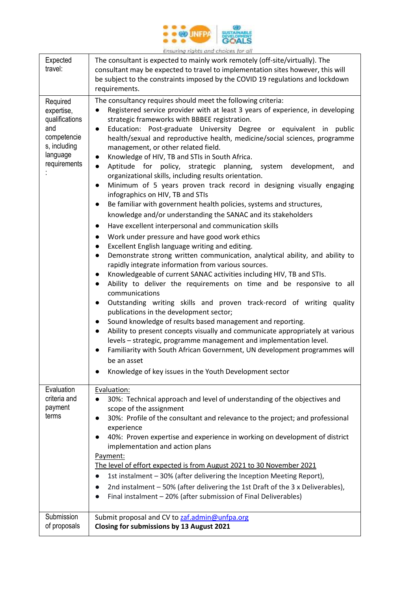

|                                                                                                            | chsunng ngnes ana chaices for an                                                                                                                                                                                                                                                                                                                                                                                                                                                                                                                                                                                                                                                                                                                                                                                                                                                                                                                                                                                                                                                                                                                                                                                                                                                                                                                                                                                                                                                                                                                                                                                                                                                                                                                                                                                                                                                                                                                                            |
|------------------------------------------------------------------------------------------------------------|-----------------------------------------------------------------------------------------------------------------------------------------------------------------------------------------------------------------------------------------------------------------------------------------------------------------------------------------------------------------------------------------------------------------------------------------------------------------------------------------------------------------------------------------------------------------------------------------------------------------------------------------------------------------------------------------------------------------------------------------------------------------------------------------------------------------------------------------------------------------------------------------------------------------------------------------------------------------------------------------------------------------------------------------------------------------------------------------------------------------------------------------------------------------------------------------------------------------------------------------------------------------------------------------------------------------------------------------------------------------------------------------------------------------------------------------------------------------------------------------------------------------------------------------------------------------------------------------------------------------------------------------------------------------------------------------------------------------------------------------------------------------------------------------------------------------------------------------------------------------------------------------------------------------------------------------------------------------------------|
| Expected<br>travel:                                                                                        | The consultant is expected to mainly work remotely (off-site/virtually). The<br>consultant may be expected to travel to implementation sites however, this will<br>be subject to the constraints imposed by the COVID 19 regulations and lockdown<br>requirements.                                                                                                                                                                                                                                                                                                                                                                                                                                                                                                                                                                                                                                                                                                                                                                                                                                                                                                                                                                                                                                                                                                                                                                                                                                                                                                                                                                                                                                                                                                                                                                                                                                                                                                          |
| Required<br>expertise,<br>qualifications<br>and<br>competencie<br>s, including<br>language<br>requirements | The consultancy requires should meet the following criteria:<br>Registered service provider with at least 3 years of experience, in developing<br>$\bullet$<br>strategic frameworks with BBBEE registration.<br>Education: Post-graduate University Degree or equivalent in public<br>$\bullet$<br>health/sexual and reproductive health, medicine/social sciences, programme<br>management, or other related field.<br>Knowledge of HIV, TB and STIs in South Africa.<br>$\bullet$<br>Aptitude for policy, strategic planning,<br>system<br>development,<br>and<br>$\bullet$<br>organizational skills, including results orientation.<br>Minimum of 5 years proven track record in designing visually engaging<br>$\bullet$<br>infographics on HIV, TB and STIs<br>Be familiar with government health policies, systems and structures,<br>$\bullet$<br>knowledge and/or understanding the SANAC and its stakeholders<br>Have excellent interpersonal and communication skills<br>$\bullet$<br>Work under pressure and have good work ethics<br>$\bullet$<br>Excellent English language writing and editing.<br>$\bullet$<br>Demonstrate strong written communication, analytical ability, and ability to<br>$\bullet$<br>rapidly integrate information from various sources.<br>Knowledgeable of current SANAC activities including HIV, TB and STIs.<br>Ability to deliver the requirements on time and be responsive to all<br>communications<br>Outstanding writing skills and proven track-record of writing quality<br>$\bullet$<br>publications in the development sector;<br>Sound knowledge of results based management and reporting.<br>Ability to present concepts visually and communicate appropriately at various<br>$\bullet$<br>levels - strategic, programme management and implementation level.<br>Familiarity with South African Government, UN development programmes will<br>be an asset<br>Knowledge of key issues in the Youth Development sector |
| Evaluation<br>criteria and<br>payment<br>terms                                                             | Evaluation:<br>30%: Technical approach and level of understanding of the objectives and<br>scope of the assignment<br>30%: Profile of the consultant and relevance to the project; and professional<br>experience<br>40%: Proven expertise and experience in working on development of district<br>implementation and action plans<br>Payment:<br>The level of effort expected is from August 2021 to 30 November 2021<br>1st instalment - 30% (after delivering the Inception Meeting Report),<br>2nd instalment - 50% (after delivering the 1st Draft of the 3 x Deliverables),<br>Final instalment - 20% (after submission of Final Deliverables)                                                                                                                                                                                                                                                                                                                                                                                                                                                                                                                                                                                                                                                                                                                                                                                                                                                                                                                                                                                                                                                                                                                                                                                                                                                                                                                        |
| Submission<br>of proposals                                                                                 | Submit proposal and CV to zaf.admin@unfpa.org<br>Closing for submissions by 13 August 2021                                                                                                                                                                                                                                                                                                                                                                                                                                                                                                                                                                                                                                                                                                                                                                                                                                                                                                                                                                                                                                                                                                                                                                                                                                                                                                                                                                                                                                                                                                                                                                                                                                                                                                                                                                                                                                                                                  |